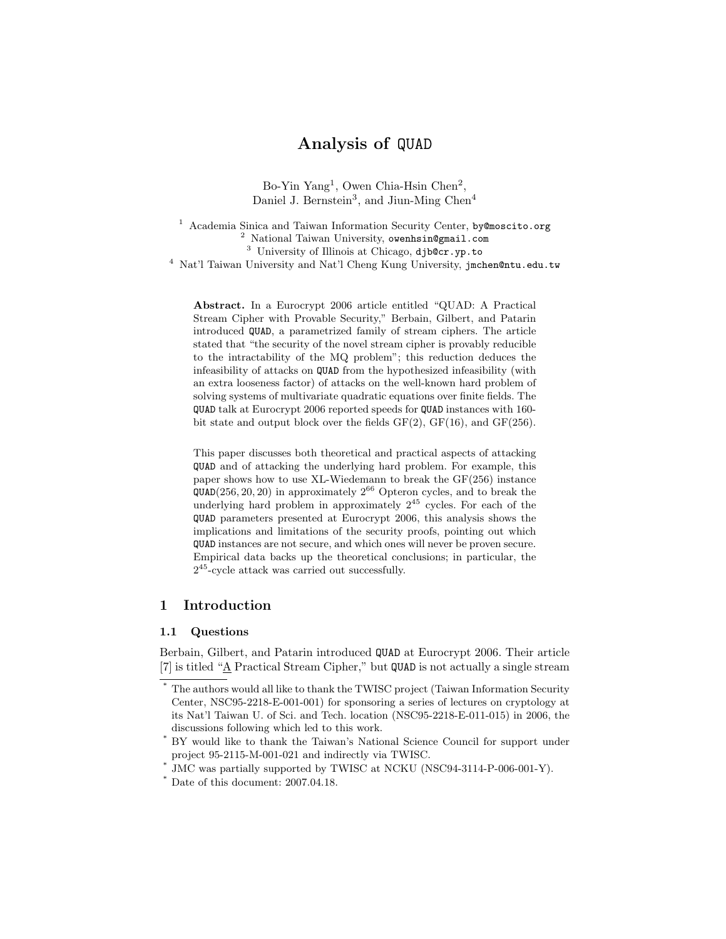# Analysis of QUAD

Bo-Yin Yang<sup>1</sup>, Owen Chia-Hsin Chen<sup>2</sup>, Daniel J. Bernstein<sup>3</sup>, and Jiun-Ming Chen<sup>4</sup>

<sup>1</sup> Academia Sinica and Taiwan Information Security Center, by@moscito.org <sup>2</sup> National Taiwan University, owenhsin@gmail.com <sup>3</sup> University of Illinois at Chicago, djb@cr.yp.to <sup>4</sup> Nat'l Taiwan University and Nat'l Cheng Kung University, jmchen@ntu.edu.tw

Abstract. In a Eurocrypt 2006 article entitled "QUAD: A Practical Stream Cipher with Provable Security," Berbain, Gilbert, and Patarin introduced QUAD, a parametrized family of stream ciphers. The article stated that "the security of the novel stream cipher is provably reducible to the intractability of the MQ problem"; this reduction deduces the infeasibility of attacks on QUAD from the hypothesized infeasibility (with an extra looseness factor) of attacks on the well-known hard problem of solving systems of multivariate quadratic equations over finite fields. The QUAD talk at Eurocrypt 2006 reported speeds for QUAD instances with 160 bit state and output block over the fields  $GF(2)$ ,  $GF(16)$ , and  $GF(256)$ .

This paper discusses both theoretical and practical aspects of attacking QUAD and of attacking the underlying hard problem. For example, this paper shows how to use XL-Wiedemann to break the GF(256) instance  $QUAD(256, 20, 20)$  in approximately  $2^{66}$  Opteron cycles, and to break the underlying hard problem in approximately  $2^{45}$  cycles. For each of the QUAD parameters presented at Eurocrypt 2006, this analysis shows the implications and limitations of the security proofs, pointing out which QUAD instances are not secure, and which ones will never be proven secure. Empirical data backs up the theoretical conclusions; in particular, the 2 <sup>45</sup>-cycle attack was carried out successfully.

# 1 Introduction

## 1.1 Questions

Berbain, Gilbert, and Patarin introduced QUAD at Eurocrypt 2006. Their article [7] is titled "A Practical Stream Cipher," but QUAD is not actually a single stream

<sup>\*</sup> The authors would all like to thank the TWISC project (Taiwan Information Security Center, NSC95-2218-E-001-001) for sponsoring a series of lectures on cryptology at its Nat'l Taiwan U. of Sci. and Tech. location (NSC95-2218-E-011-015) in 2006, the discussions following which led to this work.

BY would like to thank the Taiwan's National Science Council for support under project 95-2115-M-001-021 and indirectly via TWISC.

<sup>\*</sup> JMC was partially supported by TWISC at NCKU (NSC94-3114-P-006-001-Y).

<sup>\*</sup> Date of this document: 2007.04.18.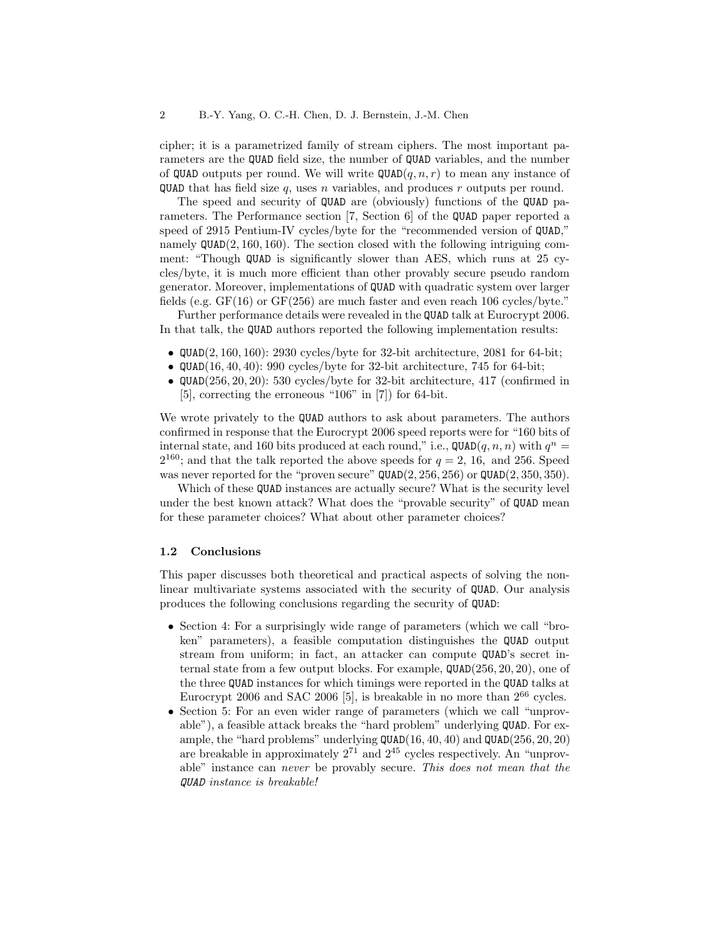cipher; it is a parametrized family of stream ciphers. The most important parameters are the QUAD field size, the number of QUAD variables, and the number of QUAD outputs per round. We will write  $\mathsf{QUAD}(q,n,r)$  to mean any instance of **QUAD** that has field size q, uses n variables, and produces r outputs per round.

The speed and security of QUAD are (obviously) functions of the QUAD parameters. The Performance section [7, Section 6] of the QUAD paper reported a speed of 2915 Pentium-IV cycles/byte for the "recommended version of QUAD," namely QUAD(2, 160, 160). The section closed with the following intriguing comment: "Though QUAD is significantly slower than AES, which runs at 25 cycles/byte, it is much more efficient than other provably secure pseudo random generator. Moreover, implementations of QUAD with quadratic system over larger fields (e.g. GF(16) or GF(256) are much faster and even reach 106 cycles/byte."

Further performance details were revealed in the QUAD talk at Eurocrypt 2006. In that talk, the QUAD authors reported the following implementation results:

- $QUAD(2, 160, 160)$ : 2930 cycles/byte for 32-bit architecture, 2081 for 64-bit;
- QUAD $(16, 40, 40)$ : 990 cycles/byte for 32-bit architecture, 745 for 64-bit;
- $QUAD(256, 20, 20)$ : 530 cycles/byte for 32-bit architecture, 417 (confirmed in [5], correcting the erroneous "106" in [7]) for 64-bit.

We wrote privately to the QUAD authors to ask about parameters. The authors confirmed in response that the Eurocrypt 2006 speed reports were for "160 bits of internal state, and 160 bits produced at each round," i.e.,  $\texttt{QUAD}(q, n, n)$  with  $q^n =$  $2^{160}$ ; and that the talk reported the above speeds for  $q = 2, 16$ , and 256. Speed was never reported for the "proven secure"  $\texttt{QUAD}(2, 256, 256)$  or  $\texttt{QUAD}(2, 350, 350)$ .

Which of these QUAD instances are actually secure? What is the security level under the best known attack? What does the "provable security" of QUAD mean for these parameter choices? What about other parameter choices?

### 1.2 Conclusions

This paper discusses both theoretical and practical aspects of solving the nonlinear multivariate systems associated with the security of QUAD. Our analysis produces the following conclusions regarding the security of QUAD:

- Section 4: For a surprisingly wide range of parameters (which we call "broken" parameters), a feasible computation distinguishes the QUAD output stream from uniform; in fact, an attacker can compute QUAD's secret internal state from a few output blocks. For example, QUAD(256, 20, 20), one of the three QUAD instances for which timings were reported in the QUAD talks at Eurocrypt 2006 and SAC 2006 [5], is breakable in no more than  $2^{66}$  cycles.
- Section 5: For an even wider range of parameters (which we call "unprovable"), a feasible attack breaks the "hard problem" underlying QUAD. For example, the "hard problems" underlying QUAD(16, 40, 40) and QUAD(256, 20, 20) are breakable in approximately  $2^{71}$  and  $2^{45}$  cycles respectively. An "unprovable" instance can never be provably secure. This does not mean that the QUAD instance is breakable!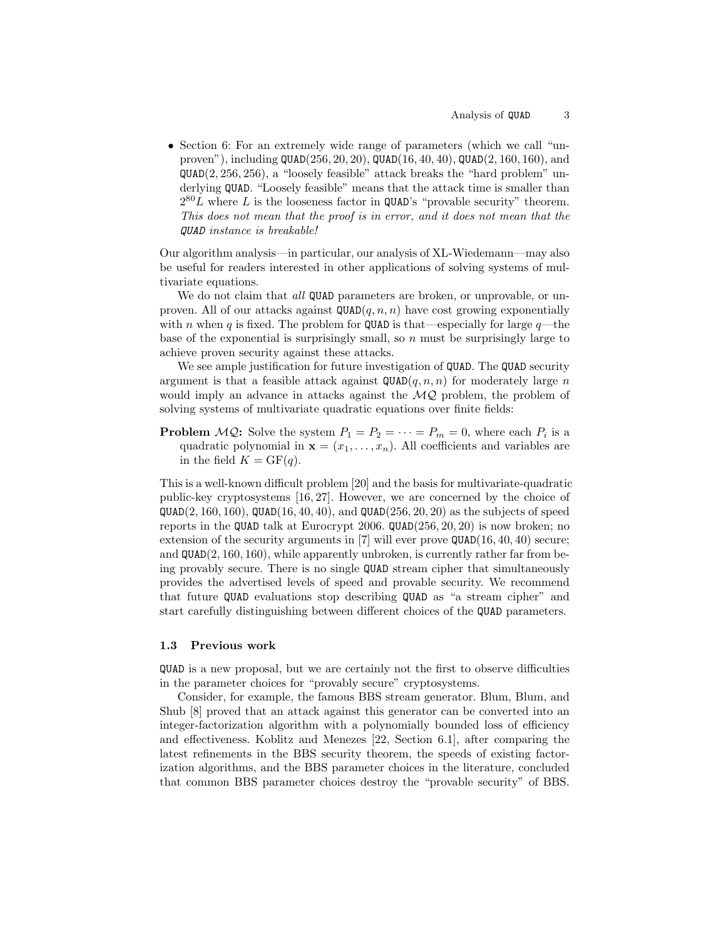• Section 6: For an extremely wide range of parameters (which we call "unproven"), including  $QUAD(256, 20, 20)$ ,  $QUAD(16, 40, 40)$ ,  $QUAD(2, 160, 160)$ , and QUAD(2, 256, 256), a "loosely feasible" attack breaks the "hard problem" underlying QUAD. "Loosely feasible" means that the attack time is smaller than  $2^{80}L$  where L is the looseness factor in QUAD's "provable security" theorem. This does not mean that the proof is in error, and it does not mean that the QUAD instance is breakable!

Our algorithm analysis—in particular, our analysis of XL-Wiedemann—may also be useful for readers interested in other applications of solving systems of multivariate equations.

We do not claim that all QUAD parameters are broken, or unprovable, or unproven. All of our attacks against  $\mathsf{QUAD}(q, n, n)$  have cost growing exponentially with n when q is fixed. The problem for QUAD is that—especially for large  $q$ —the base of the exponential is surprisingly small, so  $n$  must be surprisingly large to achieve proven security against these attacks.

We see ample justification for future investigation of **QUAD**. The **QUAD** security argument is that a feasible attack against  $\mathsf{QUAD}(q, n, n)$  for moderately large n would imply an advance in attacks against the  $MQ$  problem, the problem of solving systems of multivariate quadratic equations over finite fields:

**Problem**  $MQ$ : Solve the system  $P_1 = P_2 = \cdots = P_m = 0$ , where each  $P_i$  is a quadratic polynomial in  $\mathbf{x} = (x_1, \ldots, x_n)$ . All coefficients and variables are in the field  $K = GF(q)$ .

This is a well-known difficult problem [20] and the basis for multivariate-quadratic public-key cryptosystems [16, 27]. However, we are concerned by the choice of  $QUAD(2, 160, 160)$ ,  $QUAD(16, 40, 40)$ , and  $QUAD(256, 20, 20)$  as the subjects of speed reports in the QUAD talk at Eurocrypt 2006. QUAD(256, 20, 20) is now broken; no extension of the security arguments in [7] will ever prove  $QUAD(16, 40, 40)$  secure; and  $\mathsf{QUAD}(2, 160, 160)$ , while apparently unbroken, is currently rather far from being provably secure. There is no single QUAD stream cipher that simultaneously provides the advertised levels of speed and provable security. We recommend that future QUAD evaluations stop describing QUAD as "a stream cipher" and start carefully distinguishing between different choices of the QUAD parameters.

## 1.3 Previous work

QUAD is a new proposal, but we are certainly not the first to observe difficulties in the parameter choices for "provably secure" cryptosystems.

Consider, for example, the famous BBS stream generator. Blum, Blum, and Shub [8] proved that an attack against this generator can be converted into an integer-factorization algorithm with a polynomially bounded loss of efficiency and effectiveness. Koblitz and Menezes [22, Section 6.1], after comparing the latest refinements in the BBS security theorem, the speeds of existing factorization algorithms, and the BBS parameter choices in the literature, concluded that common BBS parameter choices destroy the "provable security" of BBS.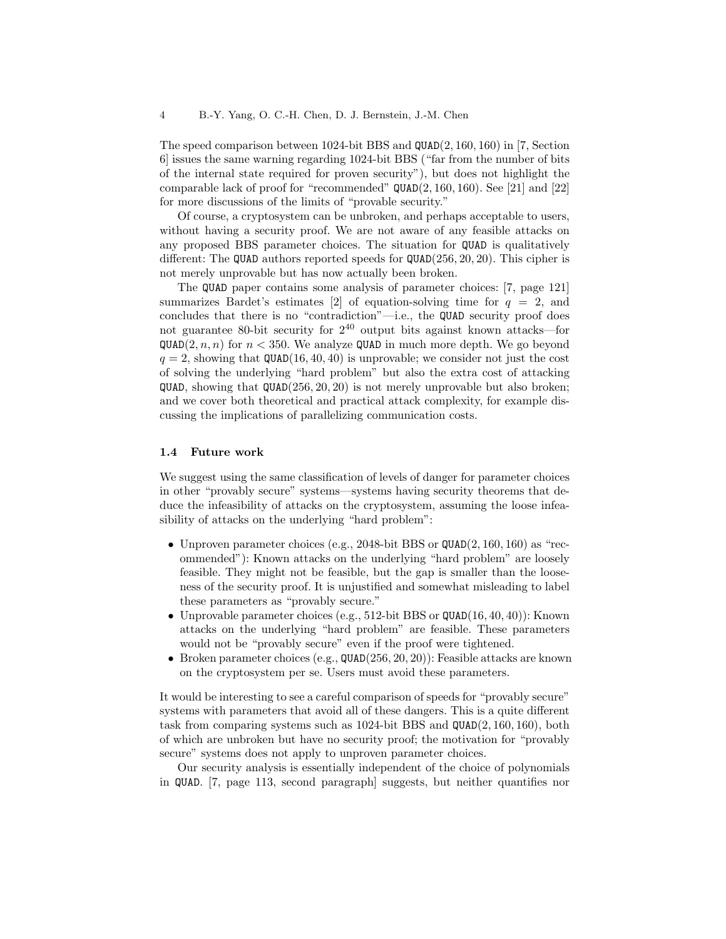The speed comparison between 1024-bit BBS and QUAD(2, 160, 160) in [7, Section 6] issues the same warning regarding 1024-bit BBS ("far from the number of bits of the internal state required for proven security"), but does not highlight the comparable lack of proof for "recommended"  $QUAD(2, 160, 160)$ . See [21] and [22] for more discussions of the limits of "provable security."

Of course, a cryptosystem can be unbroken, and perhaps acceptable to users, without having a security proof. We are not aware of any feasible attacks on any proposed BBS parameter choices. The situation for QUAD is qualitatively different: The QUAD authors reported speeds for  $QUAD(256, 20, 20)$ . This cipher is not merely unprovable but has now actually been broken.

The QUAD paper contains some analysis of parameter choices: [7, page 121] summarizes Bardet's estimates [2] of equation-solving time for  $q = 2$ , and concludes that there is no "contradiction"—i.e., the QUAD security proof does not guarantee 80-bit security for  $2^{40}$  output bits against known attacks—for  $QUAD(2, n, n)$  for  $n < 350$ . We analyze QUAD in much more depth. We go beyond  $q = 2$ , showing that QUAD(16, 40, 40) is unprovable; we consider not just the cost of solving the underlying "hard problem" but also the extra cost of attacking  $QUAD$ , showing that  $QUAD(256, 20, 20)$  is not merely unprovable but also broken; and we cover both theoretical and practical attack complexity, for example discussing the implications of parallelizing communication costs.

#### 1.4 Future work

We suggest using the same classification of levels of danger for parameter choices in other "provably secure" systems—systems having security theorems that deduce the infeasibility of attacks on the cryptosystem, assuming the loose infeasibility of attacks on the underlying "hard problem":

- Unproven parameter choices (e.g., 2048-bit BBS or  $\texttt{QUAD}(2, 160, 160)$  as "recommended"): Known attacks on the underlying "hard problem" are loosely feasible. They might not be feasible, but the gap is smaller than the looseness of the security proof. It is unjustified and somewhat misleading to label these parameters as "provably secure."
- Unprovable parameter choices (e.g., 512-bit BBS or  $\texttt{QUAD}(16, 40, 40)$ ): Known attacks on the underlying "hard problem" are feasible. These parameters would not be "provably secure" even if the proof were tightened.
- Broken parameter choices (e.g.,  $QUAD(256, 20, 20)$ ): Feasible attacks are known on the cryptosystem per se. Users must avoid these parameters.

It would be interesting to see a careful comparison of speeds for "provably secure" systems with parameters that avoid all of these dangers. This is a quite different task from comparing systems such as 1024-bit BBS and QUAD(2, 160, 160), both of which are unbroken but have no security proof; the motivation for "provably secure" systems does not apply to unproven parameter choices.

Our security analysis is essentially independent of the choice of polynomials in QUAD. [7, page 113, second paragraph] suggests, but neither quantifies nor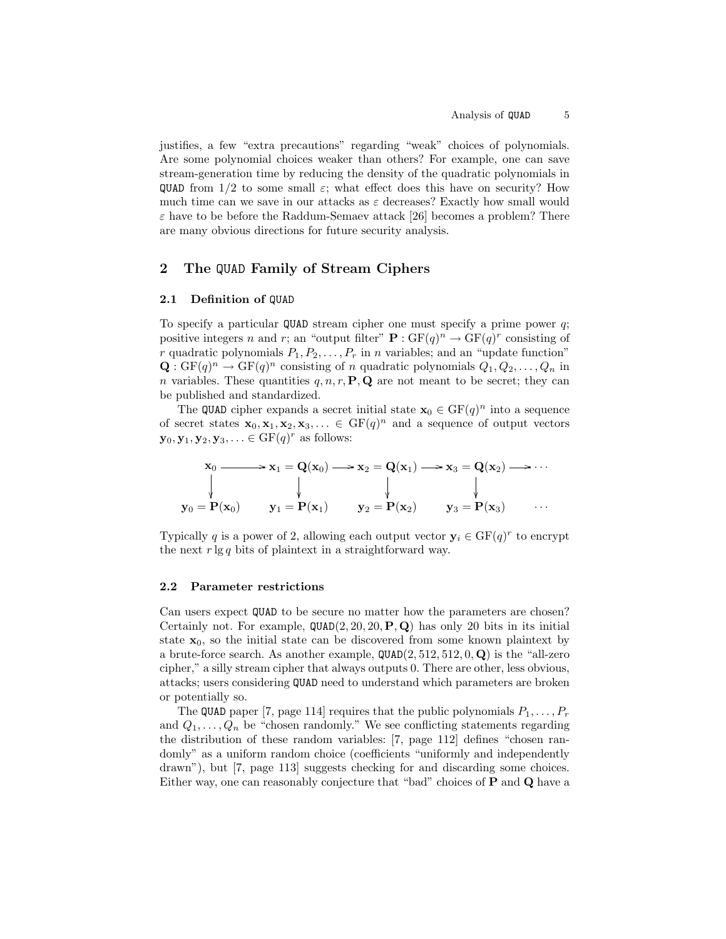justifies, a few "extra precautions" regarding "weak" choices of polynomials. Are some polynomial choices weaker than others? For example, one can save stream-generation time by reducing the density of the quadratic polynomials in QUAD from  $1/2$  to some small  $\varepsilon$ ; what effect does this have on security? How much time can we save in our attacks as  $\varepsilon$  decreases? Exactly how small would  $\varepsilon$  have to be before the Raddum-Semaev attack [26] becomes a problem? There are many obvious directions for future security analysis.

# 2 The QUAD Family of Stream Ciphers

### 2.1 Definition of QUAD

To specify a particular QUAD stream cipher one must specify a prime power q; positive integers n and r; an "output filter"  $\mathbf{P} : GF(q)^n \to GF(q)^r$  consisting of r quadratic polynomials  $P_1, P_2, \ldots, P_r$  in n variables; and an "update function"  $\mathbf{Q}: \mathrm{GF}(q)^n \to \mathrm{GF}(q)^n$  consisting of n quadratic polynomials  $Q_1, Q_2, \ldots, Q_n$  in n variables. These quantities  $q, n, r, P, Q$  are not meant to be secret; they can be published and standardized.

The QUAD cipher expands a secret initial state  $\mathbf{x}_0 \in \mathrm{GF}(q)^n$  into a sequence of secret states  $\mathbf{x}_0, \mathbf{x}_1, \mathbf{x}_2, \mathbf{x}_3, \ldots \in \text{GF}(q)^n$  and a sequence of output vectors  $\mathbf{y}_0, \mathbf{y}_1, \mathbf{y}_2, \mathbf{y}_3, \ldots \in \text{GF}(q)^r$  as follows:

$$
\mathbf{x}_0 \longrightarrow \mathbf{x}_1 = \mathbf{Q}(\mathbf{x}_0) \longrightarrow \mathbf{x}_2 = \mathbf{Q}(\mathbf{x}_1) \longrightarrow \mathbf{x}_3 = \mathbf{Q}(\mathbf{x}_2) \longrightarrow \cdots
$$
\n
$$
\downarrow \qquad \qquad \downarrow \qquad \qquad \downarrow \qquad \qquad \downarrow
$$
\n
$$
\mathbf{y}_0 = \mathbf{P}(\mathbf{x}_0) \qquad \mathbf{y}_1 = \mathbf{P}(\mathbf{x}_1) \qquad \mathbf{y}_2 = \mathbf{P}(\mathbf{x}_2) \qquad \mathbf{y}_3 = \mathbf{P}(\mathbf{x}_3) \qquad \cdots
$$

Typically q is a power of 2, allowing each output vector  $y_i \in GF(q)^r$  to encrypt the next  $r \lg q$  bits of plaintext in a straightforward way.

### 2.2 Parameter restrictions

Can users expect QUAD to be secure no matter how the parameters are chosen? Certainly not. For example,  $\text{QUAD}(2, 20, 20, \textbf{P}, \textbf{Q})$  has only 20 bits in its initial state  $x_0$ , so the initial state can be discovered from some known plaintext by a brute-force search. As another example,  $\texttt{QUAD}(2, 512, 512, 0, \textbf{Q})$  is the "all-zero cipher," a silly stream cipher that always outputs 0. There are other, less obvious, attacks; users considering QUAD need to understand which parameters are broken or potentially so.

The QUAD paper [7, page 114] requires that the public polynomials  $P_1, \ldots, P_r$ and  $Q_1, \ldots, Q_n$  be "chosen randomly." We see conflicting statements regarding the distribution of these random variables: [7, page 112] defines "chosen randomly" as a uniform random choice (coefficients "uniformly and independently drawn"), but [7, page 113] suggests checking for and discarding some choices. Either way, one can reasonably conjecture that "bad" choices of P and Q have a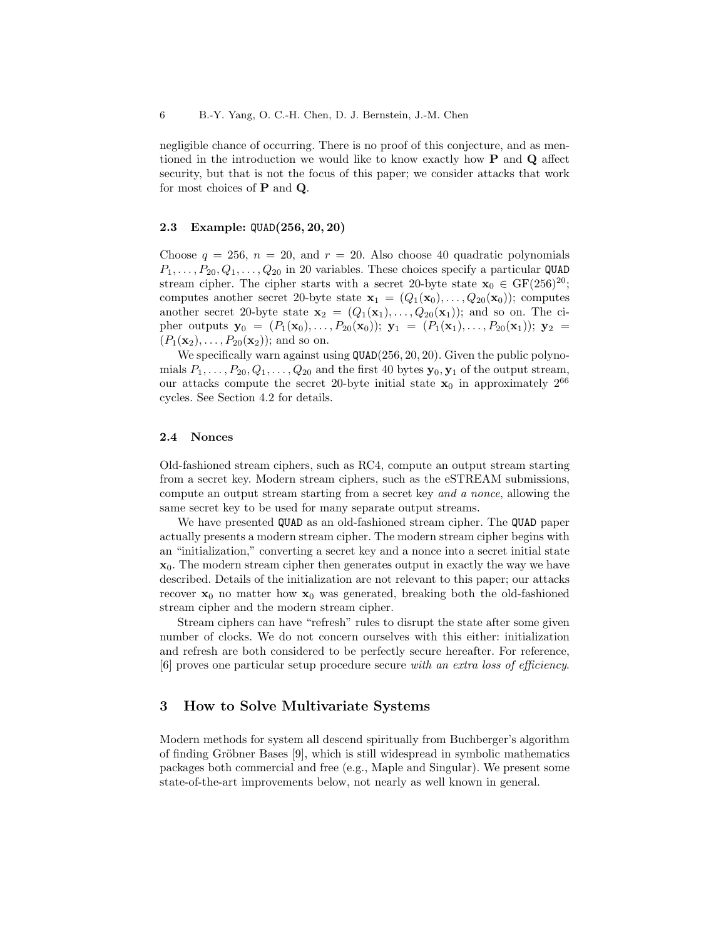negligible chance of occurring. There is no proof of this conjecture, and as mentioned in the introduction we would like to know exactly how P and Q affect security, but that is not the focus of this paper; we consider attacks that work for most choices of P and Q.

## 2.3 Example: QUAD(256, 20, 20)

Choose  $q = 256$ ,  $n = 20$ , and  $r = 20$ . Also choose 40 quadratic polynomials  $P_1, \ldots, P_{20}, Q_1, \ldots, Q_{20}$  in 20 variables. These choices specify a particular QUAD stream cipher. The cipher starts with a secret 20-byte state  $x_0 \in GF(256)^{20}$ ; computes another secret 20-byte state  $\mathbf{x}_1 = (Q_1(\mathbf{x}_0), \ldots, Q_{20}(\mathbf{x}_0))$ ; computes another secret 20-byte state  $\mathbf{x}_2 = (Q_1(\mathbf{x}_1), \ldots, Q_{20}(\mathbf{x}_1));$  and so on. The cipher outputs  $y_0 = (P_1(x_0), \ldots, P_{20}(x_0)); y_1 = (P_1(x_1), \ldots, P_{20}(x_1)); y_2 =$  $(P_1(\mathbf{x}_2), \ldots, P_{20}(\mathbf{x}_2))$ ; and so on.

We specifically warn against using  $\texttt{QUAD}(256, 20, 20)$ . Given the public polynomials  $P_1, \ldots, P_{20}, Q_1, \ldots, Q_{20}$  and the first 40 bytes  $\mathbf{y}_0, \mathbf{y}_1$  of the output stream, our attacks compute the secret 20-byte initial state  $x_0$  in approximately  $2^{66}$ cycles. See Section 4.2 for details.

### 2.4 Nonces

Old-fashioned stream ciphers, such as RC4, compute an output stream starting from a secret key. Modern stream ciphers, such as the eSTREAM submissions, compute an output stream starting from a secret key and a nonce, allowing the same secret key to be used for many separate output streams.

We have presented QUAD as an old-fashioned stream cipher. The QUAD paper actually presents a modern stream cipher. The modern stream cipher begins with an "initialization," converting a secret key and a nonce into a secret initial state  $x_0$ . The modern stream cipher then generates output in exactly the way we have described. Details of the initialization are not relevant to this paper; our attacks recover  $x_0$  no matter how  $x_0$  was generated, breaking both the old-fashioned stream cipher and the modern stream cipher.

Stream ciphers can have "refresh" rules to disrupt the state after some given number of clocks. We do not concern ourselves with this either: initialization and refresh are both considered to be perfectly secure hereafter. For reference, [6] proves one particular setup procedure secure with an extra loss of efficiency.

# 3 How to Solve Multivariate Systems

Modern methods for system all descend spiritually from Buchberger's algorithm of finding Gröbner Bases  $[9]$ , which is still widespread in symbolic mathematics packages both commercial and free (e.g., Maple and Singular). We present some state-of-the-art improvements below, not nearly as well known in general.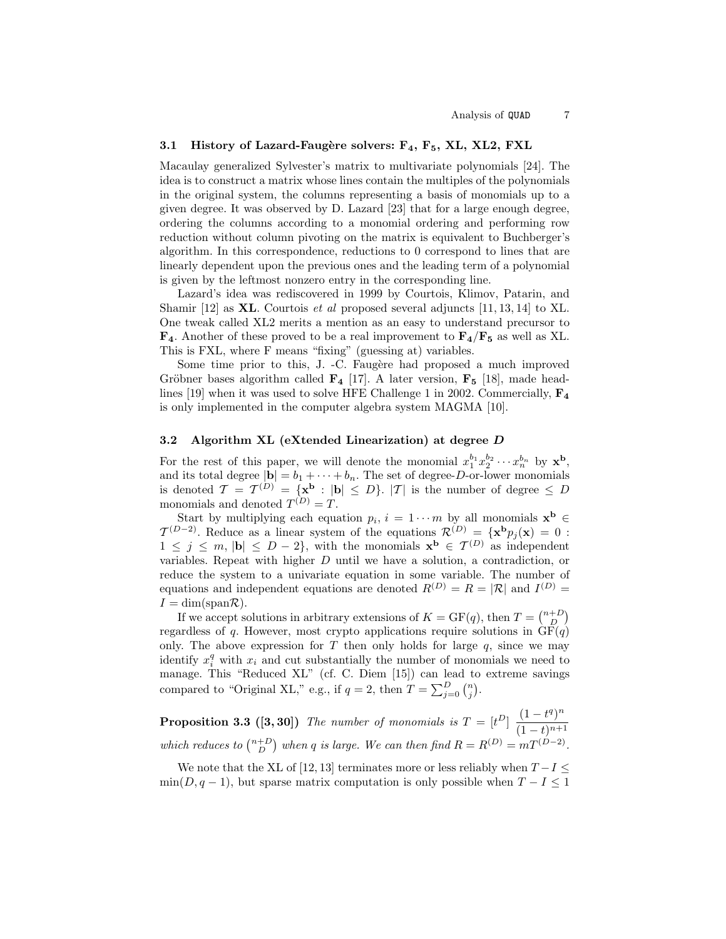### 3.1 History of Lazard-Faugère solvers:  $F_4$ ,  $F_5$ , XL, XL2, FXL

Macaulay generalized Sylvester's matrix to multivariate polynomials [24]. The idea is to construct a matrix whose lines contain the multiples of the polynomials in the original system, the columns representing a basis of monomials up to a given degree. It was observed by D. Lazard [23] that for a large enough degree, ordering the columns according to a monomial ordering and performing row reduction without column pivoting on the matrix is equivalent to Buchberger's algorithm. In this correspondence, reductions to 0 correspond to lines that are linearly dependent upon the previous ones and the leading term of a polynomial is given by the leftmost nonzero entry in the corresponding line.

Lazard's idea was rediscovered in 1999 by Courtois, Klimov, Patarin, and Shamir [12] as **XL**. Courtois *et al* proposed several adjuncts [11, 13, 14] to XL. One tweak called XL2 merits a mention as an easy to understand precursor to  $\mathbf{F}_4$ . Another of these proved to be a real improvement to  $\mathbf{F}_4/\mathbf{F}_5$  as well as XL. This is FXL, where F means "fixing" (guessing at) variables.

Some time prior to this, J. -C. Faugère had proposed a much improved Gröbner bases algorithm called  $\mathbf{F}_4$  [17]. A later version,  $\mathbf{F}_5$  [18], made headlines [19] when it was used to solve HFE Challenge 1 in 2002. Commercially,  $\mathbf{F}_4$ is only implemented in the computer algebra system MAGMA [10].

#### 3.2 Algorithm XL (eXtended Linearization) at degree D

For the rest of this paper, we will denote the monomial  $x_1^{b_1}x_2^{b_2}\cdots x_n^{b_n}$  by  $\mathbf{x}^{\mathbf{b}}$ , and its total degree  $|\mathbf{b}| = b_1 + \cdots + b_n$ . The set of degree-D-or-lower monomials is denoted  $\mathcal{T} = \mathcal{T}^{(D)} = \{ \mathbf{x}^{\mathbf{b}} : | \mathbf{b} | \leq D \}$ .  $|\mathcal{T}|$  is the number of degree  $\leq D$ monomials and denoted  $T^{(D)} = T$ .

Start by multiplying each equation  $p_i$ ,  $i = 1 \cdots m$  by all monomials  $\mathbf{x}^{\mathbf{b}} \in$  $\mathcal{T}^{(D-2)}$ . Reduce as a linear system of the equations  $\mathcal{R}^{(D)} = {\mathbf{x}^{\mathbf{b}}} p_j(\mathbf{x}) = 0$ :  $1 \leq j \leq m, |\mathbf{b}| \leq D-2\},\$  with the monomials  $\mathbf{x}^{\mathbf{b}} \in \mathcal{T}^{(D)}$  as independent variables. Repeat with higher D until we have a solution, a contradiction, or reduce the system to a univariate equation in some variable. The number of equations and independent equations are denoted  $R^{(D)} = R = |\mathcal{R}|$  and  $I^{(D)} =$  $I = \dim(\text{span}\mathcal{R}).$ 

If we accept solutions in arbitrary extensions of  $K = \mathrm{GF}(q)$ , then  $T = \binom{n+D}{D}$ regardless of q. However, most crypto applications require solutions in  $GF(q)$ only. The above expression for  $T$  then only holds for large  $q$ , since we may identify  $x_i^q$  with  $x_i$  and cut substantially the number of monomials we need to manage. This "Reduced XL" (cf. C. Diem [15]) can lead to extreme savings compared to "Original XL," e.g., if  $q = 2$ , then  $T = \sum_{j=0}^{D} {n \choose j}$ .

**Proposition 3.3 ([3, 30])** The number of monomials is  $T = [t^D] \frac{(1-t^q)^n}{(1-t^q)^{n-1}}$  $(1-t)^{n+1}$ which reduces to  $\binom{n+D}{D}$  when q is large. We can then find  $R = R^{(D)} = mT^{(D-2)}$ .

We note that the XL of [12, 13] terminates more or less reliably when  $T-I \leq$  $min(D, q-1)$ , but sparse matrix computation is only possible when  $T - I \leq 1$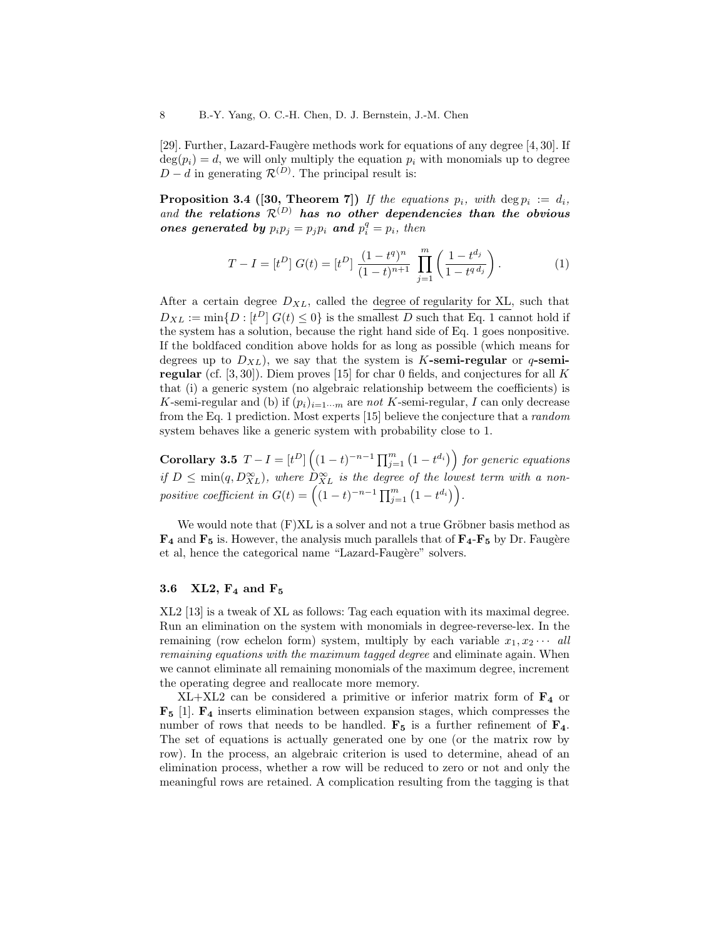[29]. Further, Lazard-Faugère methods work for equations of any degree [4, 30]. If  $deg(p_i) = d$ , we will only multiply the equation  $p_i$  with monomials up to degree  $D - d$  in generating  $\mathcal{R}^{(D)}$ . The principal result is:

**Proposition 3.4 ([30, Theorem 7])** If the equations  $p_i$ , with  $\deg p_i := d_i$ , and the relations  $\mathcal{R}^{(D)}$  has no other dependencies than the obvious ones generated by  $p_i p_j = p_j p_i$  and  $p_i^q = p_i$ , then

$$
T - I = [tD] G(t) = [tD] \frac{(1 - tq)n}{(1 - t)n+1} \prod_{j=1}^{m} \left( \frac{1 - tdj}{1 - tq dj} \right).
$$
 (1)

After a certain degree  $D_{XL}$ , called the degree of regularity for XL, such that  $D_{XL} := \min\{D : [t^D] \ G(t) \leq 0\}$  is the smallest D such that Eq. 1 cannot hold if the system has a solution, because the right hand side of Eq. 1 goes nonpositive. If the boldfaced condition above holds for as long as possible (which means for degrees up to  $D_{XL}$ , we say that the system is K-semi-regular or q-semiregular (cf.  $[3, 30]$ ). Diem proves [15] for char 0 fields, and conjectures for all K that (i) a generic system (no algebraic relationship betweem the coefficients) is K-semi-regular and (b) if  $(p_i)_{i=1\cdots m}$  are not K-semi-regular, I can only decrease from the Eq. 1 prediction. Most experts [15] believe the conjecture that a random system behaves like a generic system with probability close to 1.

Corollary 3.5  $T - I = [t^D] \left( (1-t)^{-n-1} \prod_{j=1}^m (1-t^{d_i}) \right)$  for generic equations if  $D \leq \min(q, D_{XL}^{\infty})$ , where  $D_{XL}^{\infty}$  is the degree of the lowest term with a nonpositive coefficient in  $G(t) = \left( (1-t)^{-n-1} \prod_{j=1}^m (1-t^{d_i}) \right)$ .

We would note that  $(F)XL$  is a solver and not a true Gröbner basis method as  $\mathbf{F}_4$  and  $\mathbf{F}_5$  is. However, the analysis much parallels that of  $\mathbf{F}_4$ - $\mathbf{F}_5$  by Dr. Faugère et al, hence the categorical name "Lazard-Faugère" solvers.

## 3.6 XL2,  $F_4$  and  $F_5$

XL2 [13] is a tweak of XL as follows: Tag each equation with its maximal degree. Run an elimination on the system with monomials in degree-reverse-lex. In the remaining (row echelon form) system, multiply by each variable  $x_1, x_2 \cdots$  all remaining equations with the maximum tagged degree and eliminate again. When we cannot eliminate all remaining monomials of the maximum degree, increment the operating degree and reallocate more memory.

 $XL+XL2$  can be considered a primitive or inferior matrix form of  $\mathbf{F}_4$  or  $\mathbf{F}_5$  [1].  $\mathbf{F}_4$  inserts elimination between expansion stages, which compresses the number of rows that needs to be handled.  $\mathbf{F}_5$  is a further refinement of  $\mathbf{F}_4$ . The set of equations is actually generated one by one (or the matrix row by row). In the process, an algebraic criterion is used to determine, ahead of an elimination process, whether a row will be reduced to zero or not and only the meaningful rows are retained. A complication resulting from the tagging is that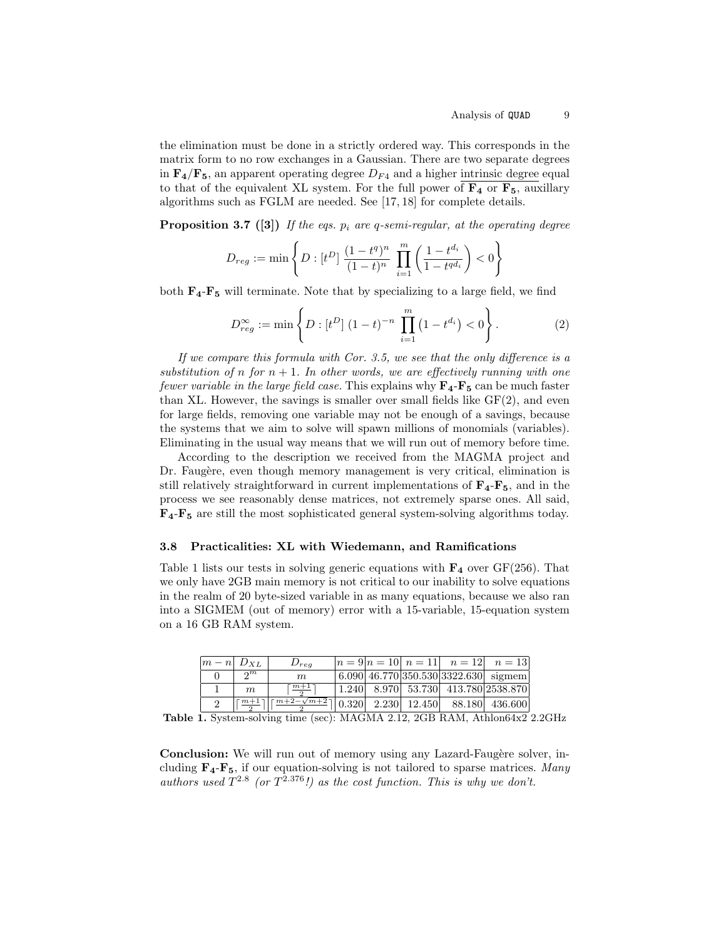the elimination must be done in a strictly ordered way. This corresponds in the matrix form to no row exchanges in a Gaussian. There are two separate degrees in  $\mathbf{F}_4/\mathbf{F}_5$ , an apparent operating degree  $D_{F4}$  and a higher intrinsic degree equal to that of the equivalent XL system. For the full power of  $\mathbf{F}_4$  or  $\mathbf{F}_5$ , auxillary algorithms such as FGLM are needed. See [17, 18] for complete details.

**Proposition 3.7** ([3]) If the eqs.  $p_i$  are q-semi-regular, at the operating degree

$$
D_{reg} := \min \left\{ D : [t^D] \; \frac{(1 - t^q)^n}{(1 - t)^n} \; \prod_{i=1}^m \left( \frac{1 - t^{d_i}}{1 - t^{q d_i}} \right) < 0 \right\}
$$

both  $\mathbf{F}_4\text{-}\mathbf{F}_5$  will terminate. Note that by specializing to a large field, we find

$$
D_{reg}^{\infty} := \min\left\{ D : [t^D] \ (1-t)^{-n} \prod_{i=1}^m (1-t^{d_i}) < 0 \right\}. \tag{2}
$$

If we compare this formula with Cor. 3.5, we see that the only difference is a substitution of n for  $n + 1$ . In other words, we are effectively running with one fewer variable in the large field case. This explains why  $\mathbf{F}_4\text{-}\mathbf{F}_5$  can be much faster than XL. However, the savings is smaller over small fields like  $GF(2)$ , and even for large fields, removing one variable may not be enough of a savings, because the systems that we aim to solve will spawn millions of monomials (variables). Eliminating in the usual way means that we will run out of memory before time.

According to the description we received from the MAGMA project and Dr. Faugère, even though memory management is very critical, elimination is still relatively straightforward in current implementations of  $\mathbf{F}_4$ - $\mathbf{F}_5$ , and in the process we see reasonably dense matrices, not extremely sparse ones. All said,  $\mathbf{F}_4$ - $\mathbf{F}_5$  are still the most sophisticated general system-solving algorithms today.

### 3.8 Practicalities: XL with Wiedemann, and Ramifications

Table 1 lists our tests in solving generic equations with  $\mathbf{F}_4$  over GF(256). That we only have 2GB main memory is not critical to our inability to solve equations in the realm of 20 byte-sized variable in as many equations, because we also ran into a SIGMEM (out of memory) error with a 15-variable, 15-equation system on a 16 GB RAM system.

| $ m-n $ $D_{XL}$ |                     | $D_{req}$                                                              |  |  | $ n=9 n=10 $ $n=11 $ $n=12 $ $n=13 $                                      |
|------------------|---------------------|------------------------------------------------------------------------|--|--|---------------------------------------------------------------------------|
|                  | 2m                  | m                                                                      |  |  | $(6.090 \, 46.770 \, 350.530 \, 3322.630 \, \text{sigma})$                |
|                  | $m_{\rm c}$         | $+ \frac{m+1}{m+1}$                                                    |  |  | $\vert 1.240 \vert 8.970 \vert 53.730 \vert 413.780 \vert 2538.870 \vert$ |
|                  | $\lceil m+1 \rceil$ | $\frac{m+2-\sqrt{m+2}}{2}$   0.320   2.230   12.450   88.180   436.600 |  |  |                                                                           |

**Table 1.** System-solving time (sec): MAGMA 2.12, 2GB RAM, Athlon64x2 2.2GHz

**Conclusion:** We will run out of memory using any Lazard-Faugère solver, including  $\mathbf{F}_4 - \mathbf{F}_5$ , if our equation-solving is not tailored to sparse matrices. Many authors used  $T^{2.8}$  (or  $T^{2.376}$ !) as the cost function. This is why we don't.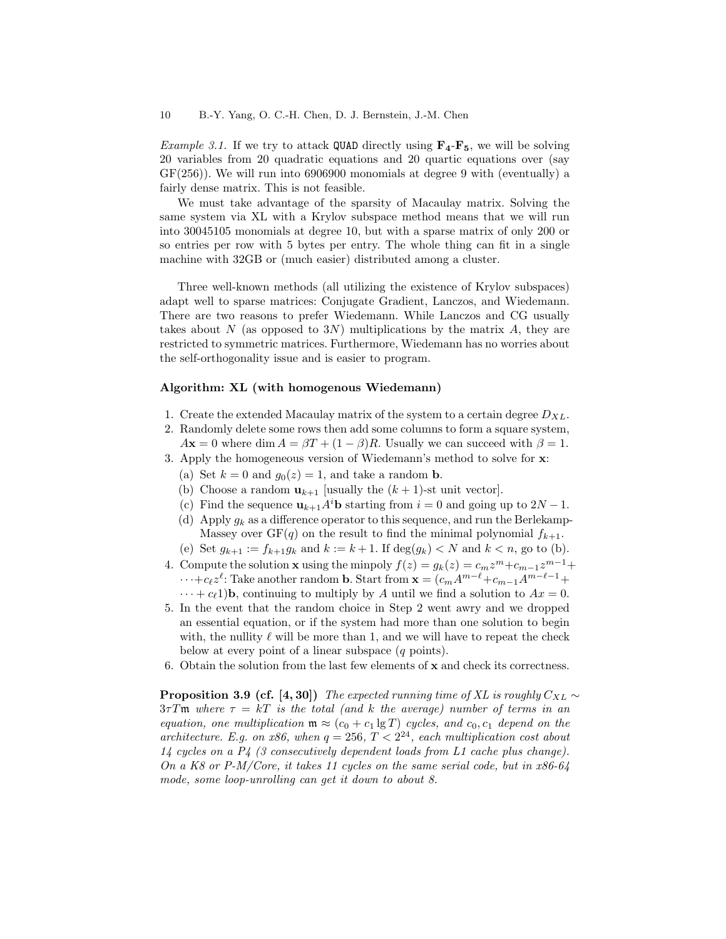*Example 3.1.* If we try to attack QUAD directly using  $\mathbf{F}_4$ - $\mathbf{F}_5$ , we will be solving 20 variables from 20 quadratic equations and 20 quartic equations over (say GF(256)). We will run into 6906900 monomials at degree 9 with (eventually) a fairly dense matrix. This is not feasible.

We must take advantage of the sparsity of Macaulay matrix. Solving the same system via XL with a Krylov subspace method means that we will run into 30045105 monomials at degree 10, but with a sparse matrix of only 200 or so entries per row with 5 bytes per entry. The whole thing can fit in a single machine with 32GB or (much easier) distributed among a cluster.

Three well-known methods (all utilizing the existence of Krylov subspaces) adapt well to sparse matrices: Conjugate Gradient, Lanczos, and Wiedemann. There are two reasons to prefer Wiedemann. While Lanczos and CG usually takes about N (as opposed to  $3N$ ) multiplications by the matrix A, they are restricted to symmetric matrices. Furthermore, Wiedemann has no worries about the self-orthogonality issue and is easier to program.

### Algorithm: XL (with homogenous Wiedemann)

- 1. Create the extended Macaulay matrix of the system to a certain degree  $D_{XL}$ .
- 2. Randomly delete some rows then add some columns to form a square system,  $A\mathbf{x} = 0$  where dim  $A = \beta T + (1 - \beta)R$ . Usually we can succeed with  $\beta = 1$ .
- 3. Apply the homogeneous version of Wiedemann's method to solve for x:
	- (a) Set  $k = 0$  and  $g_0(z) = 1$ , and take a random **b**.
	- (b) Choose a random  $\mathbf{u}_{k+1}$  [usually the  $(k+1)$ -st unit vector].
	- (c) Find the sequence  $\mathbf{u}_{k+1}A^i\mathbf{b}$  starting from  $i = 0$  and going up to  $2N 1$ .
	- (d) Apply  $g_k$  as a difference operator to this sequence, and run the Berlekamp-Massey over  $GF(q)$  on the result to find the minimal polynomial  $f_{k+1}$ .
	- (e) Set  $g_{k+1} := f_{k+1}g_k$  and  $k := k+1$ . If  $deg(g_k) < N$  and  $k < n$ , go to (b).
- 4. Compute the solution **x** using the minpoly  $f(z) = g_k(z) = c_m z^m + c_{m-1} z^{m-1} +$  $\cdots + c_{\ell} z^{\ell}$ : Take another random **b**. Start from  $\mathbf{x} = (c_m A^{m-\ell} + c_{m-1}A^{m-\ell-1} + c_m A^{m-\ell})$  $\cdots + c_{\ell}1$ )**b**, continuing to multiply by A until we find a solution to  $Ax = 0$ .
- 5. In the event that the random choice in Step 2 went awry and we dropped an essential equation, or if the system had more than one solution to begin with, the nullity  $\ell$  will be more than 1, and we will have to repeat the check below at every point of a linear subspace (q points).
- 6. Obtain the solution from the last few elements of x and check its correctness.

**Proposition 3.9 (cf.** [4, 30]) The expected running time of XL is roughly  $C_{XL} \sim$  $3\tau T\mathfrak{m}$  where  $\tau = kT$  is the total (and k the average) number of terms in an equation, one multiplication  $\mathfrak{m} \approx (c_0 + c_1 \lg T)$  cycles, and  $c_0, c_1$  depend on the architecture. E.g. on x86, when  $q = 256$ ,  $T < 2^{24}$ , each multiplication cost about 14 cycles on a P4 (3 consecutively dependent loads from L1 cache plus change). On a K8 or P-M/Core, it takes 11 cycles on the same serial code, but in  $x86-64$ mode, some loop-unrolling can get it down to about 8.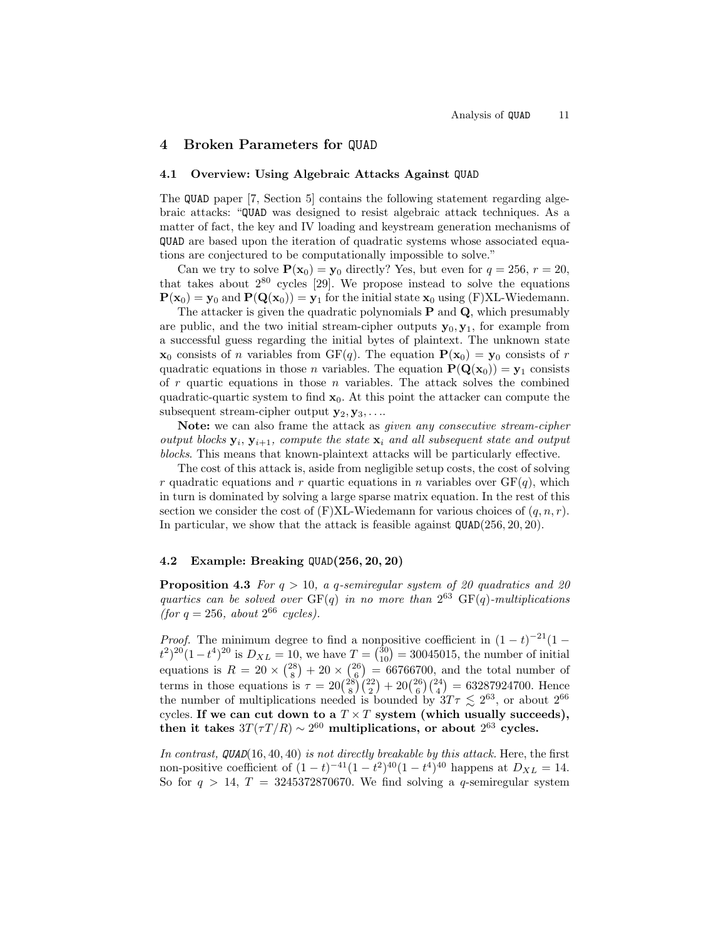# 4 Broken Parameters for QUAD

## 4.1 Overview: Using Algebraic Attacks Against QUAD

The QUAD paper [7, Section 5] contains the following statement regarding algebraic attacks: "QUAD was designed to resist algebraic attack techniques. As a matter of fact, the key and IV loading and keystream generation mechanisms of QUAD are based upon the iteration of quadratic systems whose associated equations are conjectured to be computationally impossible to solve."

Can we try to solve  $P(x_0) = y_0$  directly? Yes, but even for  $q = 256$ ,  $r = 20$ , that takes about  $2^{80}$  cycles [29]. We propose instead to solve the equations  $P(x_0) = y_0$  and  $P(Q(x_0)) = y_1$  for the initial state  $x_0$  using (F)XL-Wiedemann.

The attacker is given the quadratic polynomials  $P$  and  $Q$ , which presumably are public, and the two initial stream-cipher outputs  $y_0, y_1$ , for example from a successful guess regarding the initial bytes of plaintext. The unknown state  $x_0$  consists of *n* variables from GF(*q*). The equation  $P(x_0) = y_0$  consists of *r* quadratic equations in those n variables. The equation  $P(Q(x_0)) = y_1$  consists of  $r$  quartic equations in those  $n$  variables. The attack solves the combined quadratic-quartic system to find  $x_0$ . At this point the attacker can compute the subsequent stream-cipher output  $y_2, y_3, \ldots$ 

Note: we can also frame the attack as *given any consecutive stream-cipher* output blocks  $y_i$ ,  $y_{i+1}$ , compute the state  $x_i$  and all subsequent state and output blocks. This means that known-plaintext attacks will be particularly effective.

The cost of this attack is, aside from negligible setup costs, the cost of solving r quadratic equations and r quartic equations in n variables over  $GF(q)$ , which in turn is dominated by solving a large sparse matrix equation. In the rest of this section we consider the cost of  $(F)XL-Wiedemann$  for various choices of  $(q, n, r)$ . In particular, we show that the attack is feasible against QUAD(256, 20, 20).

## 4.2 Example: Breaking QUAD(256, 20, 20)

**Proposition 4.3** For  $q > 10$ , a q-semiregular system of 20 quadratics and 20 quartics can be solved over  $GF(q)$  in no more than  $2^{63}$   $GF(q)$ -multiplications (for  $q = 256$ , about  $2^{66}$  cycles).

*Proof.* The minimum degree to find a nonpositive coefficient in  $(1-t)^{-21}(1-t)$  $(t^2)^{20}(1-t^4)^{20}$  is  $D_{XL} = 10$ , we have  $T = {30 \choose 10} = 30045015$ , the number of initial equations is  $R = 20 \times {28 \choose 8} + 20 \times {26 \choose 6} = 66766700$ , and the total number of terms in those equations is  $\tau = 20\binom{28}{8}\binom{22}{2} + 20\binom{26}{6}\binom{24}{4} = 63287924700$ . Hence the number of multiplications needed is bounded by  $3T\tau \lesssim 2^{63}$ , or about  $2^{66}$ cycles. If we can cut down to a  $T \times T$  system (which usually succeeds), then it takes  $3T(\tau T/R) \sim 2^{60}$  multiplications, or about  $2^{63}$  cycles.

In contrast,  $QUAD(16, 40, 40)$  is not directly breakable by this attack. Here, the first non-positive coefficient of  $(1-t)^{-41}(1-t^2)^{40}(1-t^4)^{40}$  happens at  $D_{XL} = 14$ . So for  $q > 14$ ,  $T = 3245372870670$ . We find solving a q-semiregular system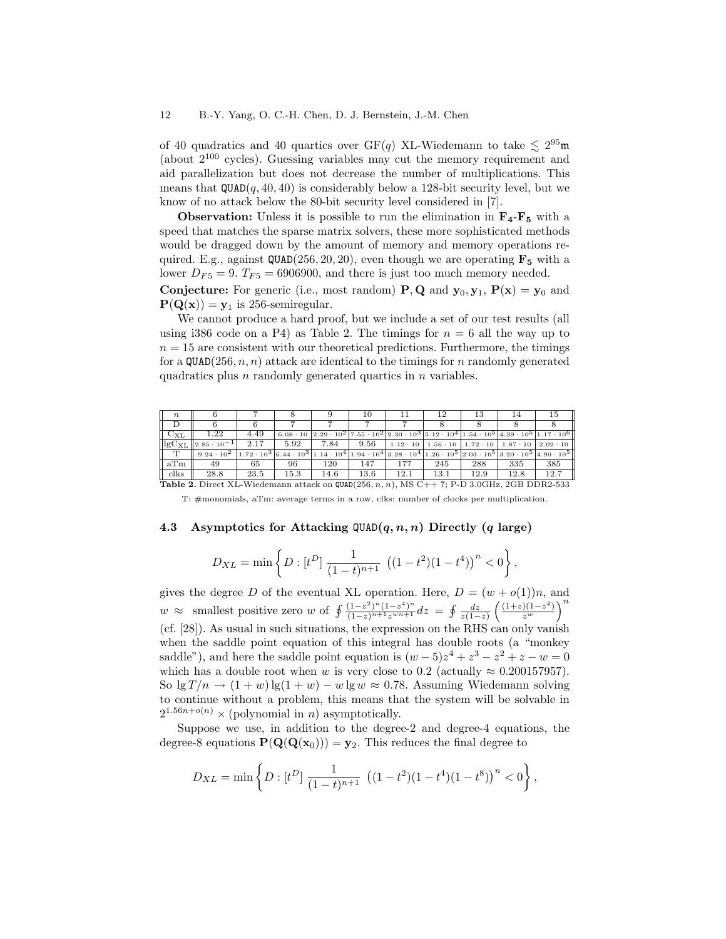of 40 quadratics and 40 quartics over  $GF(q)$  XL-Wiedemann to take  $\lesssim 2^{95}$ m (about  $2^{100}$  cycles). Guessing variables may cut the memory requirement and aid parallelization but does not decrease the number of multiplications. This means that  $QUAD(q, 40, 40)$  is considerably below a 128-bit security level, but we know of no attack below the 80-bit security level considered in [7].

**Observation:** Unless it is possible to run the elimination in  $\mathbf{F}_4$ - $\mathbf{F}_5$  with a speed that matches the sparse matrix solvers, these more sophisticated methods would be dragged down by the amount of memory and memory operations required. E.g., against  $\text{QUAD}(256, 20, 20)$ , even though we are operating  $\mathbf{F}_5$  with a lower  $D_{F5} = 9$ .  $T_{F5} = 6906900$ , and there is just too much memory needed.

**Conjecture:** For generic (i.e., most random) **P**, **Q** and  $y_0, y_1$ ,  $P(x) = y_0$  and  $P(Q(x)) = y_1$  is 256-semiregular.

We cannot produce a hard proof, but we include a set of our test results (all using i386 code on a P4) as Table 2. The timings for  $n = 6$  all the way up to  $n = 15$  are consistent with our theoretical predictions. Furthermore, the timings for a QUAD(256,  $n, n$ ) attack are identical to the timings for n randomly generated quadratics plus n randomly generated quartics in n variables.

| $\boldsymbol{n}$  |                                                                                                     |                   |                 |      | 10   |                 |                 | 13   | 14                                | ЪL                                                                                                                                                                                                                                    |  |
|-------------------|-----------------------------------------------------------------------------------------------------|-------------------|-----------------|------|------|-----------------|-----------------|------|-----------------------------------|---------------------------------------------------------------------------------------------------------------------------------------------------------------------------------------------------------------------------------------|--|
|                   |                                                                                                     |                   |                 |      |      |                 |                 |      |                                   |                                                                                                                                                                                                                                       |  |
| $C_{\rm XL}$      | 1.22                                                                                                | 4.49              | $6.08 \cdot 10$ |      |      |                 |                 |      |                                   | $\left[2.29 \cdot 10^{2} \right]$ 7.55 $\cdot 10^{2} \left[2.30 \cdot 10^{3} \right]$ 5.12 $\cdot 10^{4} \left[1.54 \cdot 10^{5} \right]$ 4.39 $\cdot 10^{5} \left[1.17 \cdot 10^{6} \right]$                                         |  |
| $\log C_{\rm XL}$ | $ 2.85 \cdot 10^{-1} $                                                                              | 2.17              | 5.92            | 7.84 | 9.56 | $1.12 \cdot 10$ | $1.56 \cdot 10$ |      | $1.72 \cdot 10$   $1.87 \cdot 10$ | $2.02 \cdot 10$                                                                                                                                                                                                                       |  |
| m                 | $9.24 \cdot 10^{2}$                                                                                 | $1.72 \cdot 10^3$ |                 |      |      |                 |                 |      |                                   | $\left[6.44\cdot10^{3}\right]$ 1.14 $\cdot$ $10^{4}\right]$ 1.94 $\cdot$ $10^{4}\right]$ 3.28 $\cdot$ $10^{4}\left]$ 1.26 $\cdot$ $10^{5}\left]$ 2.03 $\cdot$ $10^{5}\left]$ 3.20 $\cdot$ $10^{5}\left $ 4.90 $\cdot$ $10^{5}\right]$ |  |
| aTm               | 49                                                                                                  | 65                | 96              | 120  | 147  | 177             | 245             | 288  | 335                               | 385                                                                                                                                                                                                                                   |  |
| clks              | 28.8                                                                                                | 23.5              | 15.3            | 14.6 | 13.6 | 12.1            | 13.1            | 12.9 | 12.8                              | 12.7                                                                                                                                                                                                                                  |  |
|                   | <b>Table 2.</b> Direct XL-Wiedemann attack on $QUAD(256, n, n)$ , MS C++7; P-D 3.0GHz, 2GB DDR2-533 |                   |                 |      |      |                 |                 |      |                                   |                                                                                                                                                                                                                                       |  |

T: #monomials, aTm: average terms in a row, clks: number of clocks per multiplication.

# 4.3 Asymptotics for Attacking  $QUAD(q, n, n)$  Directly (q large)

$$
D_{XL} = \min\left\{ D : [t^D] \frac{1}{(1-t)^{n+1}} \left( (1-t^2)(1-t^4) \right)^n < 0 \right\},\,
$$

gives the degree D of the eventual XL operation. Here,  $D = (w + o(1))n$ , and  $w \approx$  smallest positive zero w of  $\oint \frac{(1-z^2)^n(1-z^4)^n}{(1-z)^{n+1}z^{wn+1}}dz = \oint \frac{dz}{z(1-z)} \left(\frac{(1+z)(1-z^4)}{z^w}\right)^n$ (cf. [28]). As usual in such situations, the expression on the RHS can only vanish when the saddle point equation of this integral has double roots (a "monkey saddle"), and here the saddle point equation is  $(w-5)z^4 + z^3 - z^2 + z - w = 0$ which has a double root when w is very close to 0.2 (actually  $\approx 0.200157957$ ). So  $\lg T/n \to (1+w) \lg(1+w) - w \lg w \approx 0.78$ . Assuming Wiedemann solving to continue without a problem, this means that the system will be solvable in  $2^{1.56n+o(n)} \times$  (polynomial in *n*) asymptotically.

Suppose we use, in addition to the degree-2 and degree-4 equations, the degree-8 equations  $P(Q(Q(x_0))) = y_2$ . This reduces the final degree to

$$
D_{XL} = \min\left\{ D : [t^D] \frac{1}{(1-t)^{n+1}} \left( (1-t^2)(1-t^4)(1-t^8) \right)^n < 0 \right\},\,
$$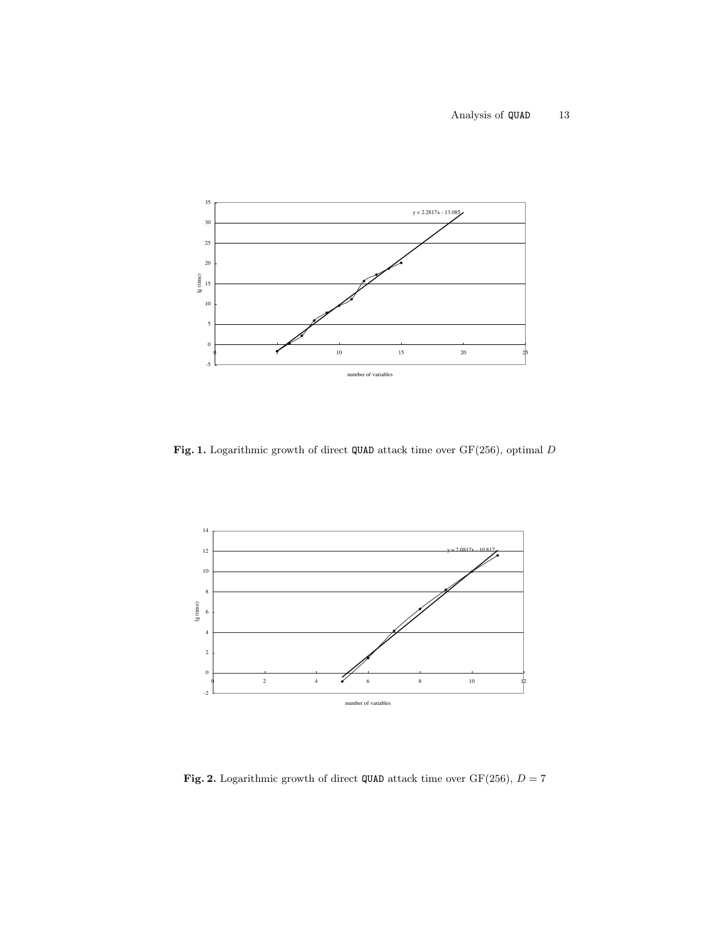

Fig. 1. Logarithmic growth of direct QUAD attack time over  $GF(256)$ , optimal D



Fig. 2. Logarithmic growth of direct QUAD attack time over GF(256),  $D = 7$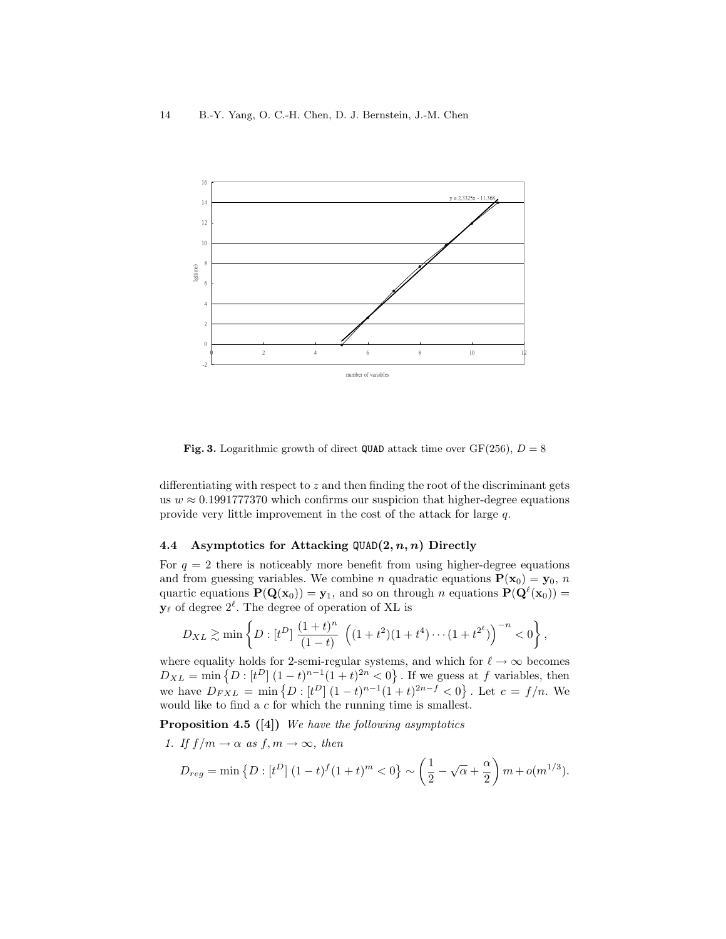

**Fig. 3.** Logarithmic growth of direct QUAD attack time over  $GF(256)$ ,  $D = 8$ 

differentiating with respect to z and then finding the root of the discriminant gets us  $w \approx 0.1991777370$  which confirms our suspicion that higher-degree equations provide very little improvement in the cost of the attack for large q.

## 4.4 Asymptotics for Attacking  $QUAD(2, n, n)$  Directly

For  $q = 2$  there is noticeably more benefit from using higher-degree equations and from guessing variables. We combine *n* quadratic equations  $P(x_0) = y_0$ , *n* quartic equations  $\mathbf{P}(\mathbf{Q}(\mathbf{x}_0)) = \mathbf{y}_1$ , and so on through n equations  $\mathbf{P}(\mathbf{Q}^{\ell}(\mathbf{x}_0)) =$  $y_\ell$  of degree  $2^\ell$ . The degree of operation of XL is

$$
D_{XL} \gtrsim \min\left\{ D : [t^D] \; \frac{(1+t)^n}{(1-t)} \; \left( (1+t^2)(1+t^4) \cdots (1+t^{2^\ell}) \right)^{-n} < 0 \right\},\,
$$

where equality holds for 2-semi-regular systems, and which for  $\ell \to \infty$  becomes  $D_{XL} = \min \{ D : [t^D] (1-t)^{n-1} (1+t)^{2n} < 0 \}$ . If we guess at f variables, then we have  $D_{FXL} = \min \{ D : [t^D] (1-t)^{n-1} (1+t)^{2n-f} < 0 \}$ . Let  $c = f/n$ . We would like to find a c for which the running time is smallest.

**Proposition 4.5** ([4]) We have the following asymptotics

1. If  $f/m \to \alpha$  as  $f, m \to \infty$ , then

$$
D_{reg} = \min \left\{ D : [t^D] \ (1-t)^f (1+t)^m < 0 \right\} \sim \left( \frac{1}{2} - \sqrt{\alpha} + \frac{\alpha}{2} \right) m + o(m^{1/3}).
$$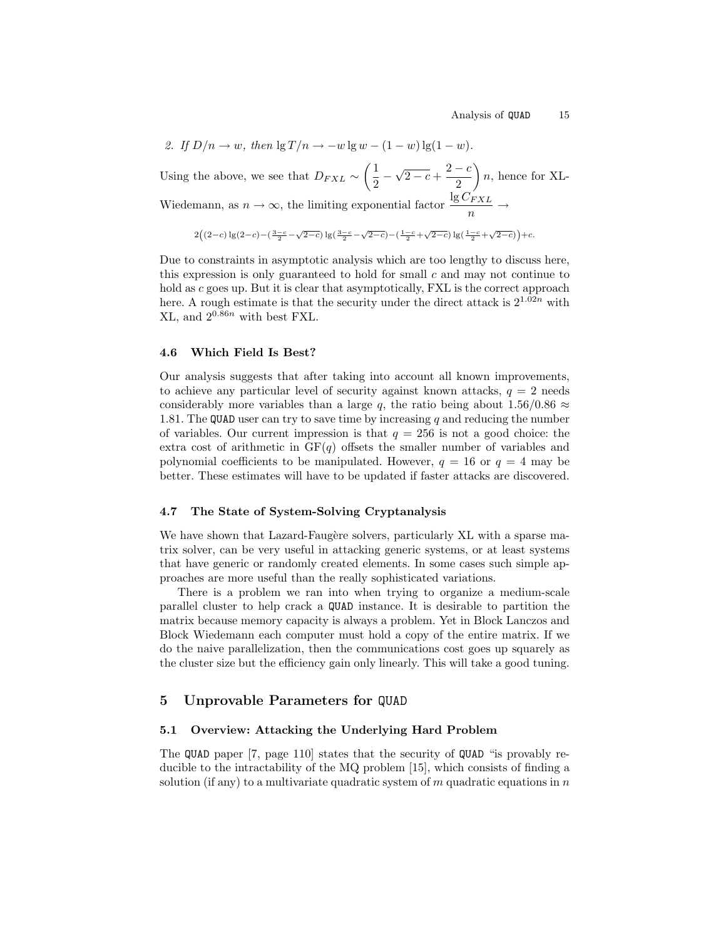2. If 
$$
D/n \to w
$$
, then  $\lg T/n \to -w \lg w - (1 - w) \lg (1 - w)$ .  
Using the above, we see that  $D_{FXL} \sim \left(\frac{1}{2} - \sqrt{2 - c} + \frac{2 - c}{2}\right)n$ , hence for XL-  
Wiedemann, as  $n \to \infty$ , the limiting exponential factor  $\frac{\lg C_{FXL}}{n} \to$ 

$$
2\Big((2-c)\lg(2-c)-\big(\tfrac{3-c}{2}-\sqrt{2-c}\big)\lg\big(\tfrac{3-c}{2}-\sqrt{2-c}\big)-\big(\tfrac{1-c}{2}+\sqrt{2-c}\big)\lg\big(\tfrac{1-c}{2}+\sqrt{2-c}\big)\Big)+c.
$$

Due to constraints in asymptotic analysis which are too lengthy to discuss here, this expression is only guaranteed to hold for small  $c$  and may not continue to hold as c goes up. But it is clear that asymptotically, FXL is the correct approach here. A rough estimate is that the security under the direct attack is  $2^{1.02n}$  with  $XL$ , and  $2^{0.86n}$  with best FXL.

### 4.6 Which Field Is Best?

Our analysis suggests that after taking into account all known improvements, to achieve any particular level of security against known attacks,  $q = 2$  needs considerably more variables than a large q, the ratio being about  $1.56/0.86 \approx$ 1.81. The QUAD user can try to save time by increasing q and reducing the number of variables. Our current impression is that  $q = 256$  is not a good choice: the extra cost of arithmetic in  $GF(q)$  offsets the smaller number of variables and polynomial coefficients to be manipulated. However,  $q = 16$  or  $q = 4$  may be better. These estimates will have to be updated if faster attacks are discovered.

# 4.7 The State of System-Solving Cryptanalysis

We have shown that Lazard-Faugère solvers, particularly XL with a sparse matrix solver, can be very useful in attacking generic systems, or at least systems that have generic or randomly created elements. In some cases such simple approaches are more useful than the really sophisticated variations.

There is a problem we ran into when trying to organize a medium-scale parallel cluster to help crack a QUAD instance. It is desirable to partition the matrix because memory capacity is always a problem. Yet in Block Lanczos and Block Wiedemann each computer must hold a copy of the entire matrix. If we do the naive parallelization, then the communications cost goes up squarely as the cluster size but the efficiency gain only linearly. This will take a good tuning.

# 5 Unprovable Parameters for QUAD

### 5.1 Overview: Attacking the Underlying Hard Problem

The QUAD paper [7, page 110] states that the security of QUAD "is provably reducible to the intractability of the MQ problem [15], which consists of finding a solution (if any) to a multivariate quadratic system of m quadratic equations in  $n$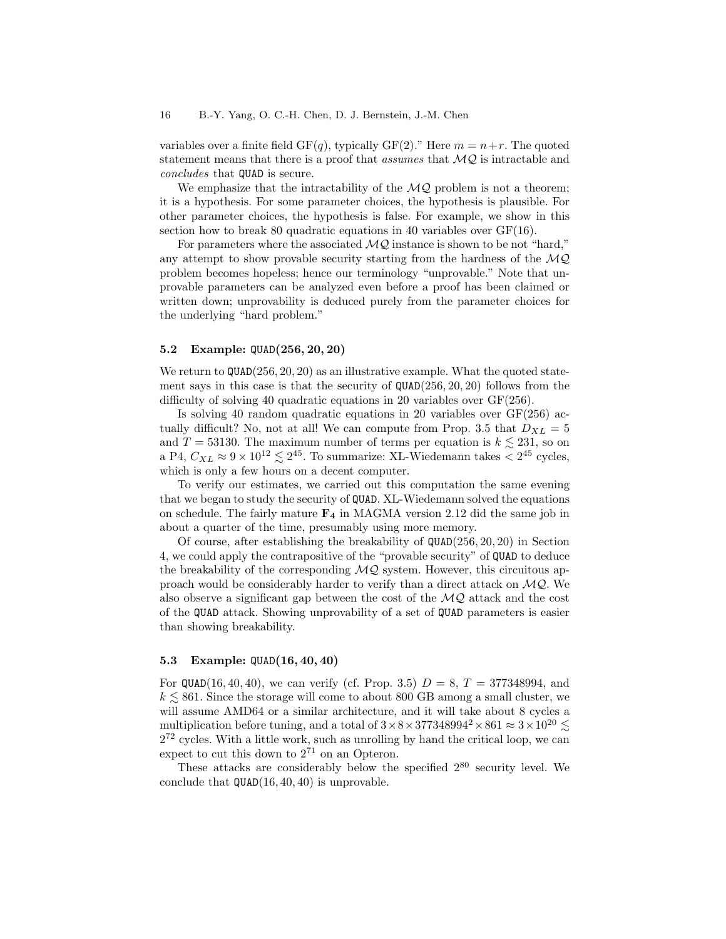variables over a finite field  $GF(q)$ , typically  $GF(2)$ ." Here  $m = n+r$ . The quoted statement means that there is a proof that *assumes* that  $\mathcal{MQ}$  is intractable and concludes that QUAD is secure.

We emphasize that the intractability of the  $MQ$  problem is not a theorem; it is a hypothesis. For some parameter choices, the hypothesis is plausible. For other parameter choices, the hypothesis is false. For example, we show in this section how to break 80 quadratic equations in 40 variables over  $GF(16)$ .

For parameters where the associated  $MQ$  instance is shown to be not "hard," any attempt to show provable security starting from the hardness of the  $MQ$ problem becomes hopeless; hence our terminology "unprovable." Note that unprovable parameters can be analyzed even before a proof has been claimed or written down; unprovability is deduced purely from the parameter choices for the underlying "hard problem."

### 5.2 Example: QUAD(256, 20, 20)

We return to  $QUAD(256, 20, 20)$  as an illustrative example. What the quoted statement says in this case is that the security of  $QUAD(256, 20, 20)$  follows from the difficulty of solving 40 quadratic equations in 20 variables over GF(256).

Is solving 40 random quadratic equations in 20 variables over  $GF(256)$  actually difficult? No, not at all! We can compute from Prop. 3.5 that  $D_{XL} = 5$ and  $T = 53130$ . The maximum number of terms per equation is  $k \lesssim 231$ , so on a P4,  $C_{XL} \approx 9 \times 10^{12} \lesssim 2^{45}$ . To summarize: XL-Wiedemann takes  $< 2^{45}$  cycles, which is only a few hours on a decent computer.

To verify our estimates, we carried out this computation the same evening that we began to study the security of QUAD. XL-Wiedemann solved the equations on schedule. The fairly mature  $\mathbf{F}_4$  in MAGMA version 2.12 did the same job in about a quarter of the time, presumably using more memory.

Of course, after establishing the breakability of QUAD(256, 20, 20) in Section 4, we could apply the contrapositive of the "provable security" of QUAD to deduce the breakability of the corresponding  $MQ$  system. However, this circuitous approach would be considerably harder to verify than a direct attack on  $\mathcal{MQ}$ . We also observe a significant gap between the cost of the  $MQ$  attack and the cost of the QUAD attack. Showing unprovability of a set of QUAD parameters is easier than showing breakability.

## 5.3 Example: QUAD(16, 40, 40)

For QUAD(16, 40, 40), we can verify (cf. Prop. 3.5)  $D = 8, T = 377348994$ , and  $k \leq 861$ . Since the storage will come to about 800 GB among a small cluster, we will assume AMD64 or a similar architecture, and it will take about 8 cycles a multiplication before tuning, and a total of  $3 \times 8 \times 377348994^2 \times 861 \approx 3 \times 10^{20} \le$  $2^{72}$  cycles. With a little work, such as unrolling by hand the critical loop, we can expect to cut this down to  $2^{71}$  on an Opteron.

These attacks are considerably below the specified  $2^{80}$  security level. We conclude that  $\texttt{QUAD}(16, 40, 40)$  is unprovable.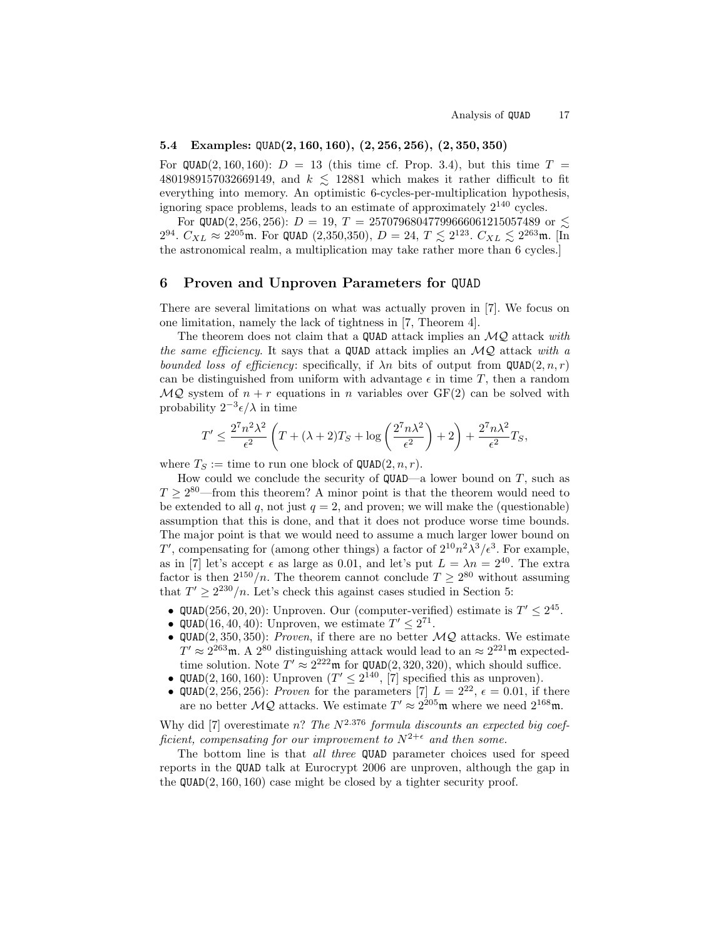# 5.4 Examples: QUAD(2, 160, 160), (2, 256, 256), (2, 350, 350)

For QUAD(2, 160, 160):  $D = 13$  (this time cf. Prop. 3.4), but this time  $T =$ 4801989157032669149, and  $k \le 12881$  which makes it rather difficult to fit everything into memory. An optimistic 6-cycles-per-multiplication hypothesis, ignoring space problems, leads to an estimate of approximately  $2^{140}$  cycles.

For QUAD(2, 256, 256):  $D = 19$ ,  $T = 25707968047799666061215057489$  or  $\lesssim$  $2^{94}$ .  $C_{XL} \approx 2^{205}$ m. For QUAD (2,350,350),  $D = 24$ ,  $T \lesssim 2^{123}$ .  $C_{XL} \lesssim 2^{263}$ m. [In the astronomical realm, a multiplication may take rather more than 6 cycles.]

# 6 Proven and Unproven Parameters for QUAD

There are several limitations on what was actually proven in [7]. We focus on one limitation, namely the lack of tightness in [7, Theorem 4].

The theorem does not claim that a QUAD attack implies an  $MQ$  attack with the same efficiency. It says that a QUAD attack implies an  $MQ$  attack with a bounded loss of efficiency: specifically, if  $\lambda n$  bits of output from QUAD(2, n, r) can be distinguished from uniform with advantage  $\epsilon$  in time T, then a random  $MQ$  system of  $n + r$  equations in n variables over  $GF(2)$  can be solved with probability  $2^{-3} \epsilon/\lambda$  in time

$$
T' \le \frac{2^7 n^2 \lambda^2}{\epsilon^2} \left( T + (\lambda + 2)T_S + \log \left( \frac{2^7 n \lambda^2}{\epsilon^2} \right) + 2 \right) + \frac{2^7 n \lambda^2}{\epsilon^2} T_S,
$$

where  $T_S :=$  time to run one block of  $\texttt{QUAD}(2, n, r)$ .

How could we conclude the security of  $QUAD$ —a lower bound on T, such as  $T \geq 2^{80}$ —from this theorem? A minor point is that the theorem would need to be extended to all q, not just  $q = 2$ , and proven; we will make the (questionable) assumption that this is done, and that it does not produce worse time bounds. The major point is that we would need to assume a much larger lower bound on T', compensating for (among other things) a factor of  $2^{10}n^2\lambda^3/\epsilon^3$ . For example, as in [7] let's accept  $\epsilon$  as large as 0.01, and let's put  $L = \lambda n = 2^{40}$ . The extra factor is then  $2^{150}/n$ . The theorem cannot conclude  $T \geq 2^{80}$  without assuming that  $T' \geq 2^{230}/n$ . Let's check this against cases studied in Section 5:

- QUAD(256, 20, 20): Unproven. Our (computer-verified) estimate is  $T' \leq 2^{45}$ .
- QUAD(16, 40, 40): Unproven, we estimate  $T' \leq 2^{71}$ .
- QUAD(2, 350, 350): Proven, if there are no better  $MQ$  attacks. We estimate  $T' \approx 2^{263}$ m. A  $2^{80}$  distinguishing attack would lead to an  $\approx 2^{221}$ m expectedtime solution. Note  $T' \approx 2^{222}$ m for QUAD(2, 320, 320), which should suffice.
- QUAD(2, 160, 160): Unproven  $(T' \leq 2^{140}, [7]$  specified this as unproven).
- QUAD(2, 256, 256): Proven for the parameters [7]  $L = 2^{22}$ ,  $\epsilon = 0.01$ , if there are no better  $MQ$  attacks. We estimate  $T' \approx 2^{205}$ m where we need  $2^{168}$ m.

Why did [7] overestimate n? The  $N^{2.376}$  formula discounts an expected big coefficient, compensating for our improvement to  $N^{2+\epsilon}$  and then some.

The bottom line is that *all three* QUAD parameter choices used for speed reports in the QUAD talk at Eurocrypt 2006 are unproven, although the gap in the  $QUAD(2, 160, 160)$  case might be closed by a tighter security proof.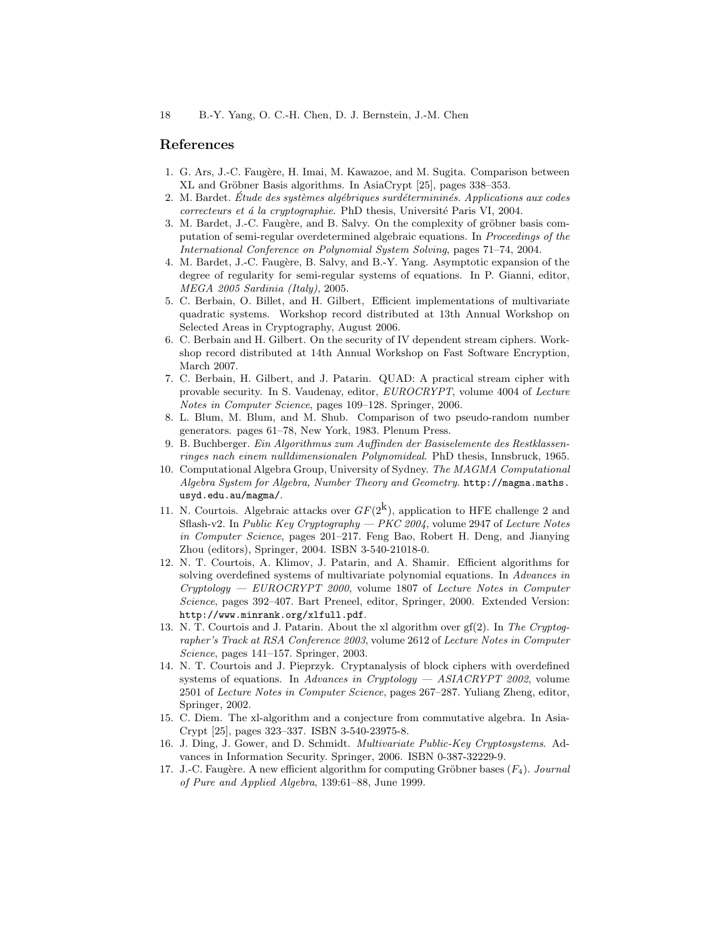# References

- 1. G. Ars, J.-C. Faugère, H. Imai, M. Kawazoe, and M. Sugita. Comparison between XL and Gröbner Basis algorithms. In AsiaCrypt [25], pages 338–353.
- 2. M. Bardet. Étude des systèmes algébriques surdétermininés. Applications aux codes correcteurs et á la cryptographie. PhD thesis, Université Paris VI, 2004.
- 3. M. Bardet, J.-C. Faugère, and B. Salvy. On the complexity of gröbner basis computation of semi-regular overdetermined algebraic equations. In Proceedings of the International Conference on Polynomial System Solving, pages 71–74, 2004.
- 4. M. Bardet, J.-C. Faug`ere, B. Salvy, and B.-Y. Yang. Asymptotic expansion of the degree of regularity for semi-regular systems of equations. In P. Gianni, editor, MEGA 2005 Sardinia (Italy), 2005.
- 5. C. Berbain, O. Billet, and H. Gilbert, Efficient implementations of multivariate quadratic systems. Workshop record distributed at 13th Annual Workshop on Selected Areas in Cryptography, August 2006.
- 6. C. Berbain and H. Gilbert. On the security of IV dependent stream ciphers. Workshop record distributed at 14th Annual Workshop on Fast Software Encryption, March 2007.
- 7. C. Berbain, H. Gilbert, and J. Patarin. QUAD: A practical stream cipher with provable security. In S. Vaudenay, editor, EUROCRYPT, volume 4004 of Lecture Notes in Computer Science, pages 109–128. Springer, 2006.
- 8. L. Blum, M. Blum, and M. Shub. Comparison of two pseudo-random number generators. pages 61–78, New York, 1983. Plenum Press.
- 9. B. Buchberger. Ein Algorithmus zum Auffinden der Basiselemente des Restklassenringes nach einem nulldimensionalen Polynomideal. PhD thesis, Innsbruck, 1965.
- 10. Computational Algebra Group, University of Sydney. The MAGMA Computational Algebra System for Algebra, Number Theory and Geometry. http://magma.maths. usyd.edu.au/magma/.
- 11. N. Courtois. Algebraic attacks over  $GF(2^k)$ , application to HFE challenge 2 and Sflash-v2. In Public Key Cryptography  $-$  PKC 2004, volume 2947 of Lecture Notes in Computer Science, pages 201–217. Feng Bao, Robert H. Deng, and Jianying Zhou (editors), Springer, 2004. ISBN 3-540-21018-0.
- 12. N. T. Courtois, A. Klimov, J. Patarin, and A. Shamir. Efficient algorithms for solving overdefined systems of multivariate polynomial equations. In Advances in  $Cryptology - EUROCRYPT 2000$ , volume 1807 of Lecture Notes in Computer Science, pages 392–407. Bart Preneel, editor, Springer, 2000. Extended Version: http://www.minrank.org/xlfull.pdf.
- 13. N. T. Courtois and J. Patarin. About the xl algorithm over gf(2). In The Cryptographer's Track at RSA Conference 2003, volume 2612 of Lecture Notes in Computer Science, pages 141–157. Springer, 2003.
- 14. N. T. Courtois and J. Pieprzyk. Cryptanalysis of block ciphers with overdefined systems of equations. In Advances in Cryptology — ASIACRYPT 2002, volume 2501 of Lecture Notes in Computer Science, pages 267–287. Yuliang Zheng, editor, Springer, 2002.
- 15. C. Diem. The xl-algorithm and a conjecture from commutative algebra. In Asia-Crypt [25], pages 323–337. ISBN 3-540-23975-8.
- 16. J. Ding, J. Gower, and D. Schmidt. Multivariate Public-Key Cryptosystems. Advances in Information Security. Springer, 2006. ISBN 0-387-32229-9.
- 17. J.-C. Faugère. A new efficient algorithm for computing Gröbner bases  $(F_4)$ . Journal of Pure and Applied Algebra, 139:61–88, June 1999.